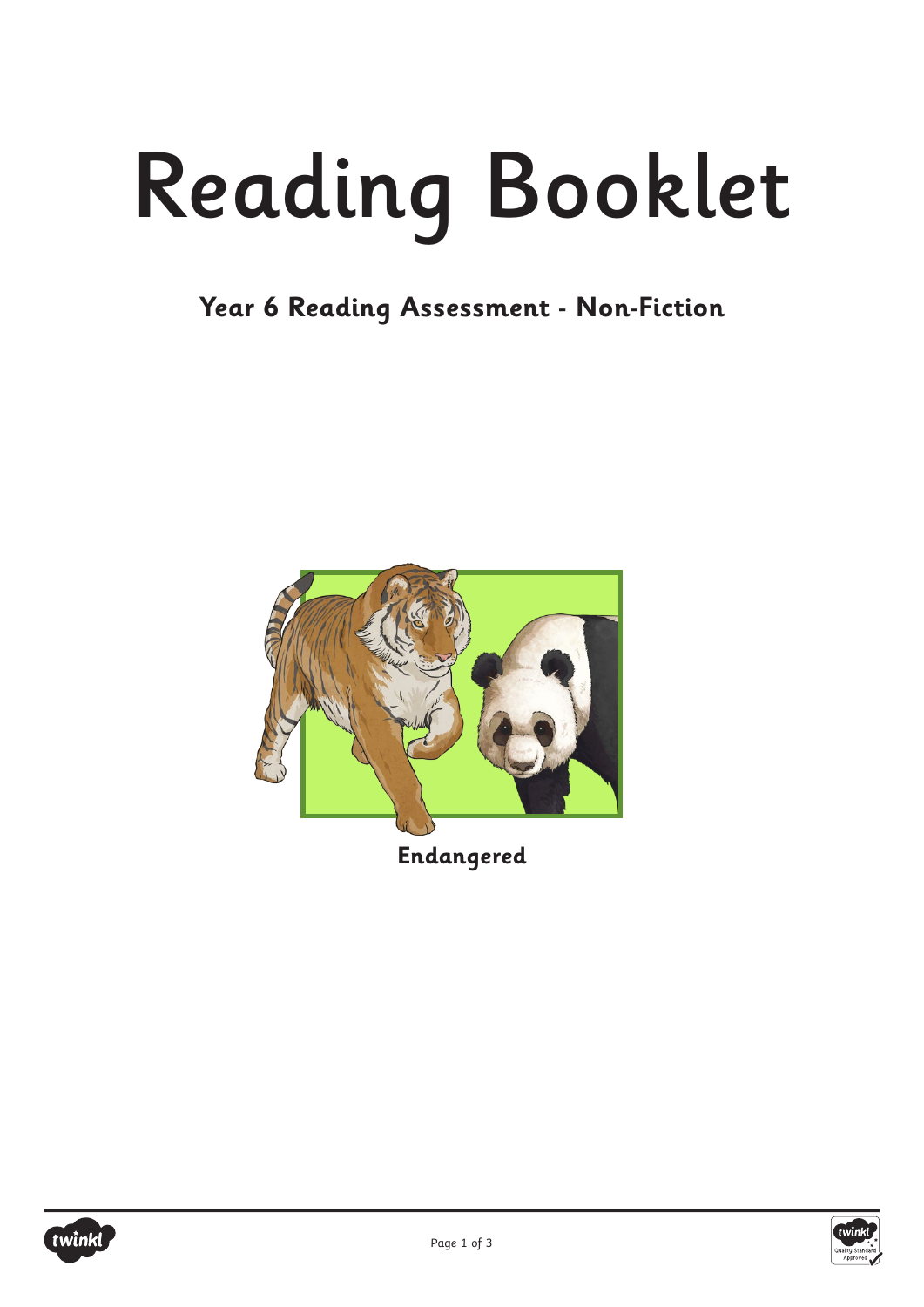# Reading Booklet

**Year 6 Reading Assessment - Non-Fiction**



**Endangered**



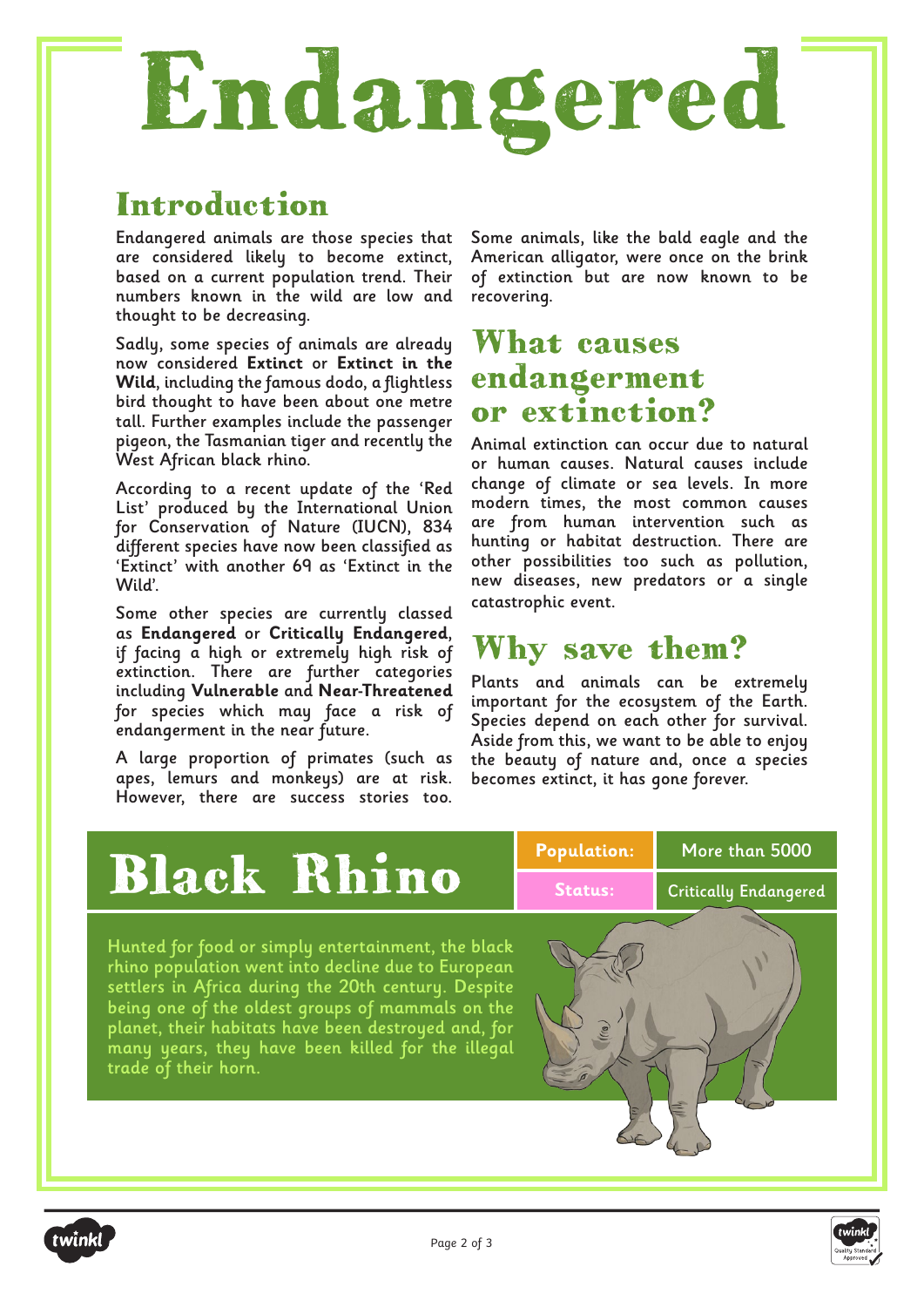# Endangered

## Introduction

Endangered animals are those species that are considered likely to become extinct, based on a current population trend. Their numbers known in the wild are low and thought to be decreasing.

Sadly, some species of animals are already now considered **Extinct** or **Extinct in the Wild**, including the famous dodo, a flightless bird thought to have been about one metre tall. Further examples include the passenger pigeon, the Tasmanian tiger and recently the West African black rhino.

According to a recent update of the 'Red List' produced by the International Union for Conservation of Nature (IUCN), 834 different species have now been classified as 'Extinct' with another 69 as 'Extinct in the Wild'.

Some other species are currently classed as **Endangered** or **Critically Endangered**, if facing a high or extremely high risk of extinction. There are further categories including **Vulnerable** and **Near-Threatened** for species which may face a risk of endangerment in the near future.

A large proportion of primates (such as apes, lemurs and monkeys) are at risk. However, there are success stories too. Some animals, like the bald eagle and the American alligator, were once on the brink of extinction but are now known to be recovering.

### What causes endangerment or extinction?

Animal extinction can occur due to natural or human causes. Natural causes include change of climate or sea levels. In more modern times, the most common causes are from human intervention such as hunting or habitat destruction. There are other possibilities too such as pollution, new diseases, new predators or a single catastrophic event.

### Why save them?

Plants and animals can be extremely important for the ecosystem of the Earth. Species depend on each other for survival. Aside from this, we want to be able to enjoy the beauty of nature and, once a species becomes extinct, it has gone forever.